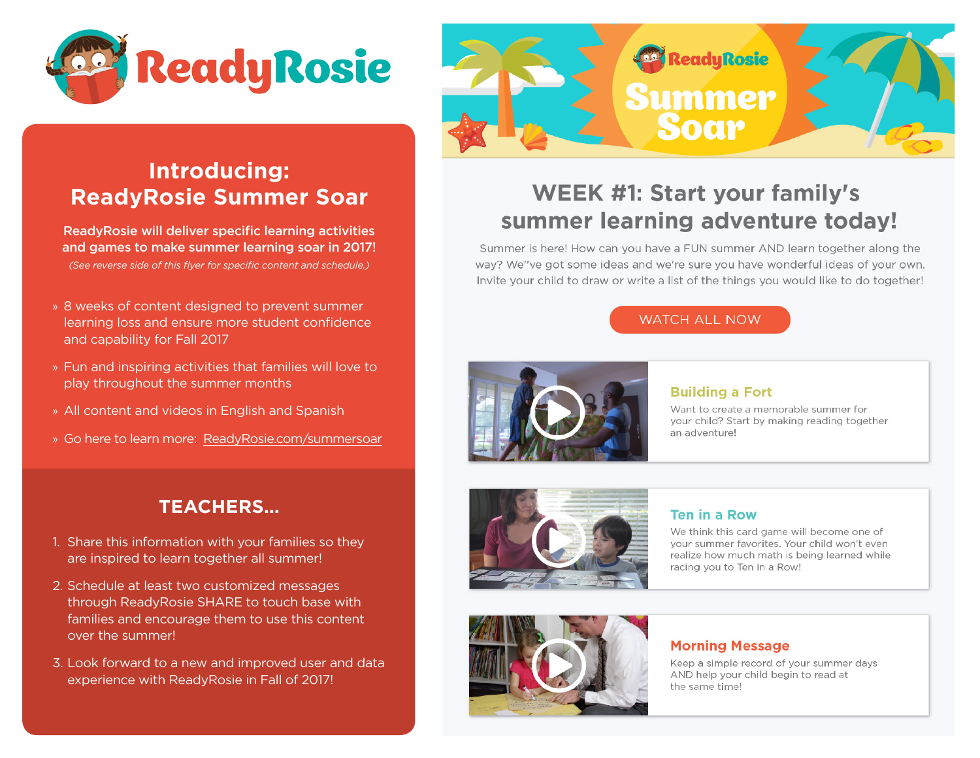



# **Introducing: ReadyRosie Summer Soar**

ReadyRosie will deliver specific learning activities and games to make summer learning soar in 2017! *(See reverse side of this flyer for specific content and schedule.)*

- » 8 weeks of content designed to prevent summer learning loss and ensure more student confidence and capability for Fall 2017
- » Fun and inspiring activities that families will love to play throughout the summer months
- » All content and videos in English and Spanish
- » Go here to learn more: ReadyRosie.com/summersoar



Summer is here! How can you have a FUN summer AND learn together along the way? We"ve got some ideas and we're sure you have wonderful ideas of your own. Invite your child to draw or write a list of the things you would like to do together!

### **WATCH ALL NOW**



### **Building a Fort**

Want to create a memorable summer for your child? Start by making reading together an adventure!



### **Ten in a Row**

We think this card game will become one of vour summer favorites. Your child won't even realize how much math is being learned while racing you to Ten in a Row!



### **Morning Message**

Keep a simple record of your summer days AND help your child begin to read at the same time!

## **TEACHERS…**

- 1. Share this information with your families so they are inspired to learn together all summer!
- 2. Schedule at least two customized messages through ReadyRosie SHARE to touch base with families and encourage them to use this content over the summer!
- 3. Look forward to a new and improved user and data experience with ReadyRosie in Fall of 2017!